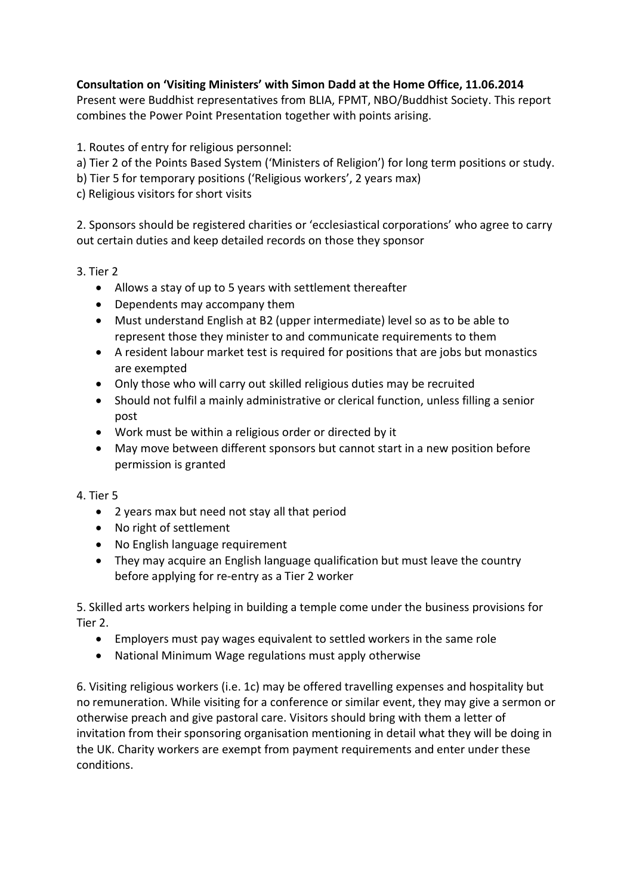## **Consultation on 'Visiting Ministers' with Simon Dadd at the Home Office, 11.06.2014**

Present were Buddhist representatives from BLIA, FPMT, NBO/Buddhist Society. This report combines the Power Point Presentation together with points arising.

1. Routes of entry for religious personnel:

- a) Tier 2 of the Points Based System ('Ministers of Religion') for long term positions or study.
- b) Tier 5 for temporary positions ('Religious workers', 2 years max)
- c) Religious visitors for short visits

2. Sponsors should be registered charities or 'ecclesiastical corporations' who agree to carry out certain duties and keep detailed records on those they sponsor

3. Tier 2

- Allows a stay of up to 5 years with settlement thereafter
- Dependents may accompany them
- Must understand English at B2 (upper intermediate) level so as to be able to represent those they minister to and communicate requirements to them
- A resident labour market test is required for positions that are jobs but monastics are exempted
- Only those who will carry out skilled religious duties may be recruited
- Should not fulfil a mainly administrative or clerical function, unless filling a senior post
- Work must be within a religious order or directed by it
- May move between different sponsors but cannot start in a new position before permission is granted

4. Tier 5

- 2 years max but need not stay all that period
- No right of settlement
- No English language requirement
- They may acquire an English language qualification but must leave the country before applying for re-entry as a Tier 2 worker

5. Skilled arts workers helping in building a temple come under the business provisions for Tier 2.

- Employers must pay wages equivalent to settled workers in the same role
- National Minimum Wage regulations must apply otherwise

6. Visiting religious workers (i.e. 1c) may be offered travelling expenses and hospitality but no remuneration. While visiting for a conference or similar event, they may give a sermon or otherwise preach and give pastoral care. Visitors should bring with them a letter of invitation from their sponsoring organisation mentioning in detail what they will be doing in the UK. Charity workers are exempt from payment requirements and enter under these conditions.